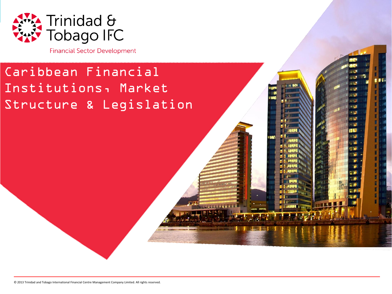

**Financial Sector Development** 

### Caribbean Financial Institutions, Market Structure & Legislation

© 2013 Trinidad and Tobago International Financial Centre Management Company Limited. All rights reserved.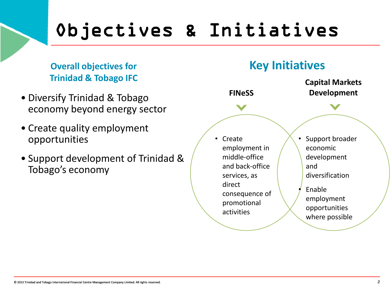# Objectives & Initiatives

**Overall objectives for Trinidad & Tobago IFC**

- Diversify Trinidad & Tobago economy beyond energy sector
- Create quality employment opportunities
- Support development of Trinidad & Tobago's economy

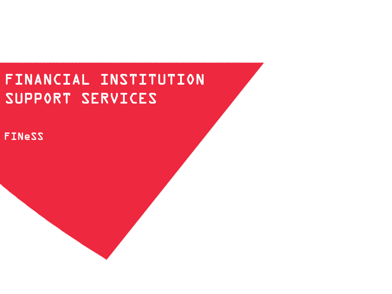## FINANCIAL INSTITUTION SUPPORT SERVICES

FINeSS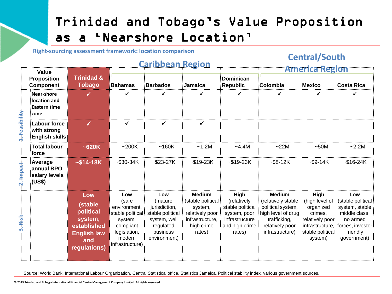#### Trinidad and Tobago"s Value Proposition as a "Nearshore Location"

**Right-sourcing assessment framework: location comparison**

#### **Caribbean Region**

#### **Central/South**

| Value     |                                                            |                                                                                                    |                                                                                                                        | <u>SILIMANESII ILMANESI MALLILILLI</u>                                                                        |                                                                                                              |                                                                                                       | <b>America Region</b>                                                                                                                 |                                                                                                   |                                                                                                                                        |  |
|-----------|------------------------------------------------------------|----------------------------------------------------------------------------------------------------|------------------------------------------------------------------------------------------------------------------------|---------------------------------------------------------------------------------------------------------------|--------------------------------------------------------------------------------------------------------------|-------------------------------------------------------------------------------------------------------|---------------------------------------------------------------------------------------------------------------------------------------|---------------------------------------------------------------------------------------------------|----------------------------------------------------------------------------------------------------------------------------------------|--|
|           | <b>Proposition</b><br>Component                            | <b>Trinidad &amp;</b><br><b>Tobago</b>                                                             | <b>Bahamas</b>                                                                                                         | <b>Barbados</b>                                                                                               | ┊Jamaica                                                                                                     | <b>Dominican</b><br>Republic                                                                          | ∶Colombia                                                                                                                             | Mexico                                                                                            | Costa Rica                                                                                                                             |  |
|           | Near-shore<br>location and<br><b>Eastern time</b><br>:zone |                                                                                                    |                                                                                                                        |                                                                                                               |                                                                                                              |                                                                                                       |                                                                                                                                       |                                                                                                   |                                                                                                                                        |  |
|           | Labour force<br>with strong<br><b>English skills</b>       |                                                                                                    |                                                                                                                        |                                                                                                               |                                                                                                              |                                                                                                       |                                                                                                                                       |                                                                                                   |                                                                                                                                        |  |
|           | <b>Total labour</b><br>force                               | ~520K                                                                                              | ~200K                                                                                                                  | ~160K                                                                                                         | ~1.2M                                                                                                        | $-4.4M$                                                                                               | $-22M$                                                                                                                                | ~50M                                                                                              | $-2.2M$                                                                                                                                |  |
|           | Average<br>annual BPO<br>salary levels<br>:(US\$)          | $~514 - 18K$                                                                                       | $-$ \$30-34K                                                                                                           | $-$ \$23-27K                                                                                                  | $-$ \$19-23K                                                                                                 | $-$ \$19-23K                                                                                          | $-$ \$8-12K                                                                                                                           | $-$ \$9-14K                                                                                       | $-$ \$16-24K                                                                                                                           |  |
| $3.$ Risl |                                                            | Low<br>(stable<br>political<br>system,<br>established<br><b>English law</b><br>and<br>regulations) | Low<br>(safe<br>environment,<br>stable political:<br>system,<br>compliant<br>legislation,<br>modern<br>infrastructure) | Low<br>(mature)<br>jurisdiction,<br>stable political<br>system, well<br>regulated<br>business<br>environment) | <b>Medium</b><br>(stable political:<br>system,<br>relatively poor<br>infrastructure.<br>high crime<br>rates) | High<br>(relatively<br>stable political<br>system, poor<br>infrastructure<br>and high crime<br>rates) | <b>Medium</b><br>(relatively stable<br>political system,<br>high level of drug:<br>trafficking,<br>relatively poor<br>infrastructure) | High<br>(high level of<br>organized<br>crimes,<br>relatively poor<br>stable political:<br>system) | Low<br>(stable political<br>system, stable<br>middle class,<br>no armed<br>infrastructure, forces, investor<br>friendly<br>government) |  |

Source: World Bank, International Labour Organization, Central Statistical office, Statistics Jamaica, Political stability index, various government sources.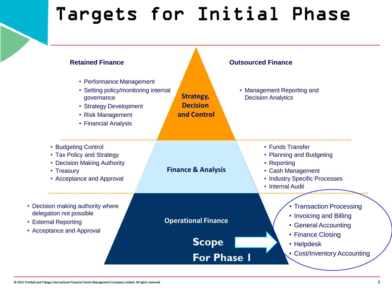# Targets for Initial Phase

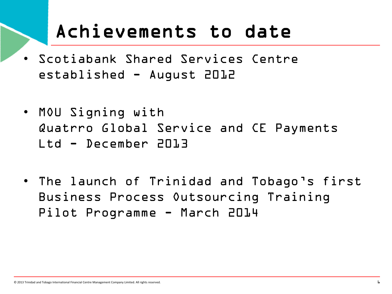# Achievements to date

- Scotiabank Shared Services Centre established - August 2012
- MOU Signing with Quatrro Global Service and CE Payments Ltd - December 2013
- The launch of Trinidad and Tobago"s first Business Process Outsourcing Training Pilot Programme - March 2014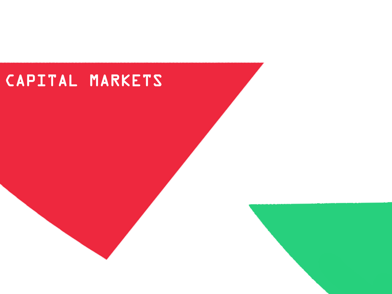# CAPITAL MARKETS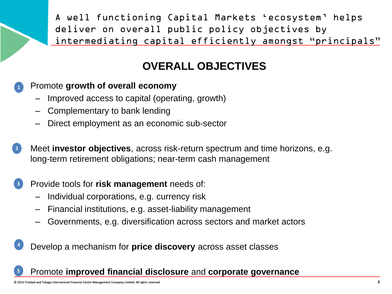A well functioning Capital Markets "ecosystem" helps deliver on overall public policy objectives by intermediating capital efficiently amongst "principals"

#### **OVERALL OBJECTIVES**

#### • Promote **growth of overall economy 1**

- Improved access to capital (operating, growth)
- Complementary to bank lending
- Direct employment as an economic sub-sector
- Meet **investor objectives**, across risk-return spectrum and time horizons, e.g. long-term retirement obligations; near-term cash management **2**

#### • Provide tools for **risk management** needs of: **3**

- Individual corporations, e.g. currency risk
- Financial institutions, e.g. asset-liability management
- Governments, e.g. diversification across sectors and market actors
- Develop a mechanism for **price discovery** across asset classes **4**

#### • Promote **improved financial disclosure** and **corporate governance**

**5**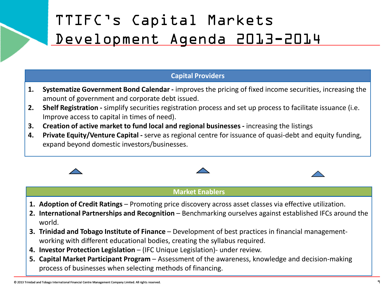## TTIFC"s Capital Markets Development Agenda 2013-2014

#### **Capital Providers**

- **1. Systematize Government Bond Calendar -** improves the pricing of fixed income securities, increasing the amount of government and corporate debt issued.
- **2. Shelf Registration -** simplify securities registration process and set up process to facilitate issuance (i.e. Improve access to capital in times of need).
- **3. Creation of active market to fund local and regional businesses -** increasing the listings
- **4. Private Equity/Venture Capital -** serve as regional centre for issuance of quasi-debt and equity funding, expand beyond domestic investors/businesses.



#### **Market Enablers**

- 
- **1. Adoption of Credit Ratings** Promoting price discovery across asset classes via effective utilization.
- **2. International Partnerships and Recognition Benchmarking ourselves against established IFCs around the** world.
- **3. Trinidad and Tobago Institute of Finance**  Development of best practices in financial managementworking with different educational bodies, creating the syllabus required.
- **4. Investor Protection Legislation**  (IFC Unique Legislation)- under review.
- **5. Capital Market Participant Program** Assessment of the awareness, knowledge and decision-making process of businesses when selecting methods of financing.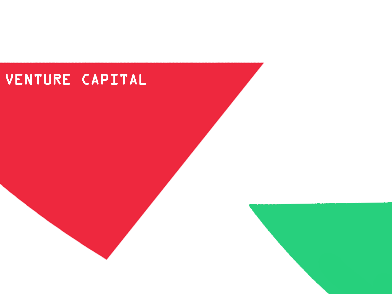### VENTURE CAPITAL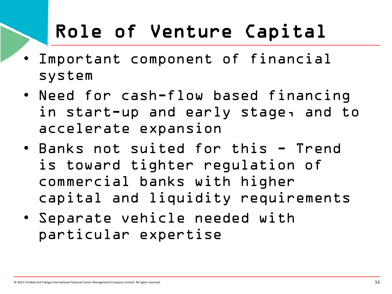# Role of Venture Capital

- Important component of financial system
- Need for cash-flow based financing in start-up and early stage, and to accelerate expansion
- Banks not suited for this Trend is toward tighter regulation of commercial banks with higher capital and liquidity requirements
- Separate vehicle needed with particular expertise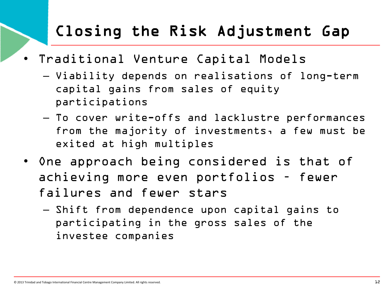### Closing the Risk Adjustment Gap

- Traditional Venture Capital Models
	- Viability depends on realisations of long-term capital gains from sales of equity participations
	- To cover write-offs and lacklustre performances from the majority of investments, a few must be exited at high multiples
- One approach being considered is that of achieving more even portfolios – fewer failures and fewer stars
	- Shift from dependence upon capital gains to participating in the gross sales of the investee companies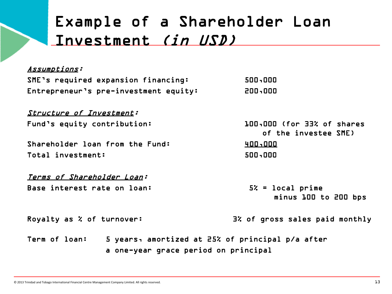### Example of a Shareholder Loan Investment (in USD)

| Assumptions:                                                                                              |                                                    |  |  |  |
|-----------------------------------------------------------------------------------------------------------|----------------------------------------------------|--|--|--|
| SME's required expansion financing:                                                                       | 500,000                                            |  |  |  |
| Entrepreneur's pre-investment equity:                                                                     | 200,000                                            |  |  |  |
| <b>Structure of Investment:</b>                                                                           |                                                    |  |  |  |
| Fund's equity contribution:                                                                               | 100,000 (for 33% of shares<br>of the investee SME) |  |  |  |
| Shareholder loan from the Fund:                                                                           | 400,000                                            |  |  |  |
| Total investment:                                                                                         | 500,000                                            |  |  |  |
| <u>Terms of Shareholder Loan:</u>                                                                         |                                                    |  |  |  |
| Base interest rate on loan:                                                                               | $52 = \text{local prime}$<br>minus 100 to 200 bps  |  |  |  |
| Royalty as $\boldsymbol{\lambda}$ of turnover:                                                            | 3% of gross sales paid monthly                     |  |  |  |
| 5 years, amortized at 25% of principal p/a after<br>Term of loan:<br>a one-year grace period on principal |                                                    |  |  |  |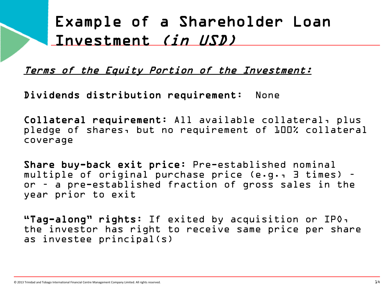### Example of a Shareholder Loan Investment (in USD)

Terms of the Equity Portion of the Investment:

Dividends distribution requirement: None

Collateral requirement: All available collateral, plus pledge of shares, but no requirement of 100% collateral coverage

Share buy-back exit price: Pre-established nominal multiple of original purchase price (e.g., 3 times) – or – a pre-established fraction of gross sales in the year prior to exit

"Tag-along" rights: If exited by acquisition or IPO, the investor has right to receive same price per share as investee principal(s)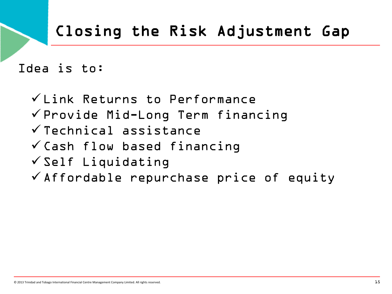## Closing the Risk Adjustment Gap

Idea is to:

 $V$  Link Returns to Performance  $\checkmark$  Provide Mid-Long Term financing  $\checkmark$  Technical assistance  $\checkmark$  Cash flow based financing  $\checkmark$  Self Liquidating  $\checkmark$  Affordable repurchase price of equity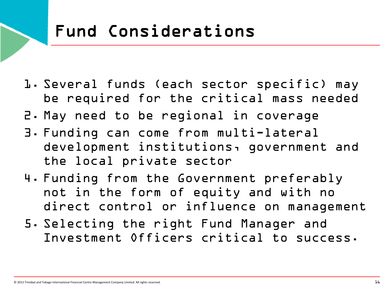# Fund Considerations

- 1. Several funds (each sector specific) may be required for the critical mass needed
- 2. May need to be regional in coverage
- 3. Funding can come from multi-lateral development institutions, government and the local private sector
- 4. Funding from the Government preferably not in the form of equity and with no direct control or influence on management
- 5. Selecting the right Fund Manager and Investment Officers critical to success.